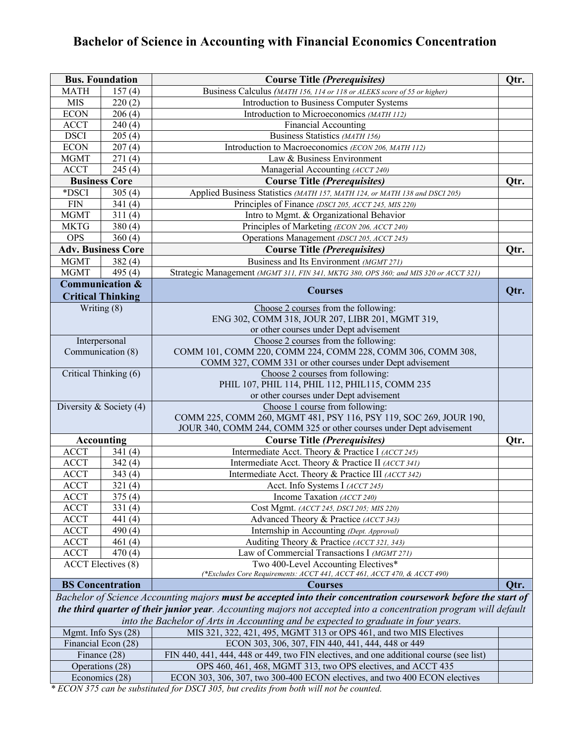# **Bachelor of Science in Accounting with Financial Economics Concentration**

| <b>Bus. Foundation</b> |                                                        | <b>Course Title (Prerequisites)</b>                                                                              | Qtr. |
|------------------------|--------------------------------------------------------|------------------------------------------------------------------------------------------------------------------|------|
| <b>MATH</b>            | 157(4)                                                 | Business Calculus (MATH 156, 114 or 118 or ALEKS score of 55 or higher)                                          |      |
| <b>MIS</b>             | 220(2)                                                 | Introduction to Business Computer Systems                                                                        |      |
| <b>ECON</b>            | 206(4)                                                 | Introduction to Microeconomics (MATH 112)                                                                        |      |
| <b>ACCT</b>            | 240(4)                                                 | <b>Financial Accounting</b>                                                                                      |      |
| <b>DSCI</b>            | 205(4)                                                 | Business Statistics (MATH 156)                                                                                   |      |
| <b>ECON</b>            | 207(4)                                                 | Introduction to Macroeconomics (ECON 206, MATH 112)                                                              |      |
| <b>MGMT</b>            | 271(4)                                                 | Law & Business Environment                                                                                       |      |
| <b>ACCT</b>            | 245(4)                                                 | Managerial Accounting (ACCT 240)                                                                                 |      |
|                        | <b>Business Core</b>                                   | <b>Course Title (Prerequisites)</b>                                                                              | Qtr. |
| *DSCI                  | 305(4)                                                 | Applied Business Statistics (MATH 157, MATH 124, or MATH 138 and DSCI 205)                                       |      |
| <b>FIN</b>             | 341(4)                                                 | Principles of Finance (DSCI 205, ACCT 245, MIS 220)                                                              |      |
| <b>MGMT</b>            | 311(4)                                                 | Intro to Mgmt. & Organizational Behavior                                                                         |      |
| <b>MKTG</b>            | 380(4)                                                 | Principles of Marketing (ECON 206, ACCT 240)                                                                     |      |
| <b>OPS</b>             | 360(4)                                                 | Operations Management (DSCI 205, ACCT 245)                                                                       |      |
|                        | <b>Adv. Business Core</b>                              | <b>Course Title (Prerequisites)</b>                                                                              | Qtr. |
| <b>MGMT</b>            | 382(4)                                                 | Business and Its Environment (MGMT 271)                                                                          |      |
| <b>MGMT</b>            | 495 $(4)$                                              | Strategic Management (MGMT 311, FIN 341, MKTG 380, OPS 360; and MIS 320 or ACCT 321)                             |      |
|                        | <b>Communication &amp;</b><br><b>Critical Thinking</b> | <b>Courses</b>                                                                                                   | Qtr. |
|                        | Writing (8)                                            | Choose 2 courses from the following:                                                                             |      |
|                        |                                                        | ENG 302, COMM 318, JOUR 207, LIBR 201, MGMT 319,                                                                 |      |
|                        |                                                        | or other courses under Dept advisement                                                                           |      |
|                        | Interpersonal                                          | Choose 2 courses from the following:                                                                             |      |
|                        | Communication (8)                                      | COMM 101, COMM 220, COMM 224, COMM 228, COMM 306, COMM 308,                                                      |      |
|                        |                                                        | COMM 327, COMM 331 or other courses under Dept advisement                                                        |      |
|                        | Critical Thinking (6)                                  | Choose 2 courses from following:                                                                                 |      |
|                        |                                                        | PHIL 107, PHIL 114, PHIL 112, PHIL115, COMM 235                                                                  |      |
|                        |                                                        | or other courses under Dept advisement                                                                           |      |
|                        | Diversity & Society $(4)$                              | Choose 1 course from following:<br>COMM 225, COMM 260, MGMT 481, PSY 116, PSY 119, SOC 269, JOUR 190,            |      |
|                        |                                                        | JOUR 340, COMM 244, COMM 325 or other courses under Dept advisement                                              |      |
|                        | <b>Accounting</b>                                      | <b>Course Title (Prerequisites)</b>                                                                              | Qtr. |
| <b>ACCT</b>            | 341(4)                                                 | Intermediate Acct. Theory & Practice I (ACCT 245)                                                                |      |
| <b>ACCT</b>            | 342(4)                                                 | Intermediate Acct. Theory & Practice II (ACCT 341)                                                               |      |
| <b>ACCT</b>            | 343(4)                                                 | Intermediate Acct. Theory & Practice III (ACCT 342)                                                              |      |
| <b>ACCT</b>            | 321(4)                                                 | Acct. Info Systems I (ACCT 245)                                                                                  |      |
| <b>ACCT</b>            | 375(4)                                                 | Income Taxation (ACCT 240)                                                                                       |      |
| <b>ACCT</b>            | 331(4)                                                 | Cost Mgmt. (ACCT 245, DSCI 205; MIS 220)                                                                         |      |
| <b>ACCT</b>            | 441 $(4)$                                              | Advanced Theory & Practice (ACCT 343)                                                                            |      |
| <b>ACCT</b>            | 490 $(4)$                                              | Internship in Accounting (Dept. Approval)                                                                        |      |
| <b>ACCT</b>            | 461(4)                                                 | Auditing Theory & Practice (ACCT 321, 343)                                                                       |      |
| <b>ACCT</b>            | 470(4)                                                 | Law of Commercial Transactions I (MGMT 271)                                                                      |      |
|                        | <b>ACCT</b> Electives (8)                              | Two 400-Level Accounting Electives*                                                                              |      |
|                        |                                                        | (*Excludes Core Requirements: ACCT 441, ACCT 461, ACCT 470, & ACCT 490)                                          |      |
|                        | <b>BS</b> Concentration                                | <b>Courses</b>                                                                                                   | Otr. |
|                        |                                                        | Bachelor of Science Accounting majors must be accepted into their concentration coursework before the start of   |      |
|                        |                                                        | the third quarter of their junior year. Accounting majors not accepted into a concentration program will default |      |
|                        |                                                        | into the Bachelor of Arts in Accounting and be expected to graduate in four years.                               |      |
|                        | Mgmt. Info Sys (28)                                    | MIS 321, 322, 421, 495, MGMT 313 or OPS 461, and two MIS Electives                                               |      |
|                        | Financial Econ (28)                                    | ECON 303, 306, 307, FIN 440, 441, 444, 448 or 449                                                                |      |
|                        | Finance (28)                                           | FIN 440, 441, 444, 448 or 449, two FIN electives, and one additional course (see list)                           |      |
|                        | Operations (28)                                        | OPS 460, 461, 468, MGMT 313, two OPS electives, and ACCT 435                                                     |      |
| Economics (28)         |                                                        | ECON 303, 306, 307, two 300-400 ECON electives, and two 400 ECON electives                                       |      |

*\* ECON 375 can be substituted for DSCI 305, but credits from both will not be counted.*